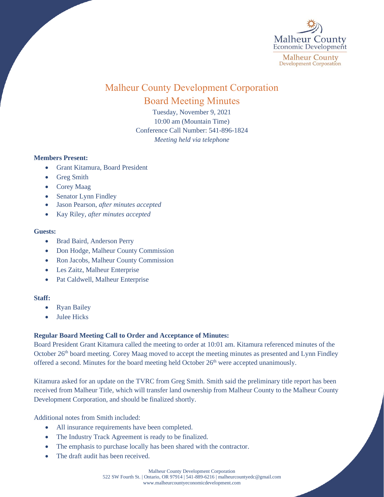

# Malheur County Development Corporation Board Meeting Minutes

Tuesday, November 9, 2021 10:00 am (Mountain Time) Conference Call Number: 541-896-1824 *Meeting held via telephone*

# **Members Present:**

- Grant Kitamura, Board President
- Greg Smith
- Corey Maag
- Senator Lynn Findley
- Jason Pearson, *after minutes accepted*
- Kay Riley, *after minutes accepted*

### **Guests:**

- Brad Baird, Anderson Perry
- Don Hodge, Malheur County Commission
- Ron Jacobs, Malheur County Commission
- Les Zaitz, Malheur Enterprise
- Pat Caldwell, Malheur Enterprise

# **Staff:**

- Ryan Bailey
- Julee Hicks

# **Regular Board Meeting Call to Order and Acceptance of Minutes:**

Board President Grant Kitamura called the meeting to order at 10:01 am. Kitamura referenced minutes of the October 26<sup>th</sup> board meeting. Corey Maag moved to accept the meeting minutes as presented and Lynn Findley offered a second. Minutes for the board meeting held October 26<sup>th</sup> were accepted unanimously.

Kitamura asked for an update on the TVRC from Greg Smith. Smith said the preliminary title report has been received from Malheur Title, which will transfer land ownership from Malheur County to the Malheur County Development Corporation, and should be finalized shortly.

Additional notes from Smith included:

- All insurance requirements have been completed.
- The Industry Track Agreement is ready to be finalized.
- The emphasis to purchase locally has been shared with the contractor.
- The draft audit has been received.